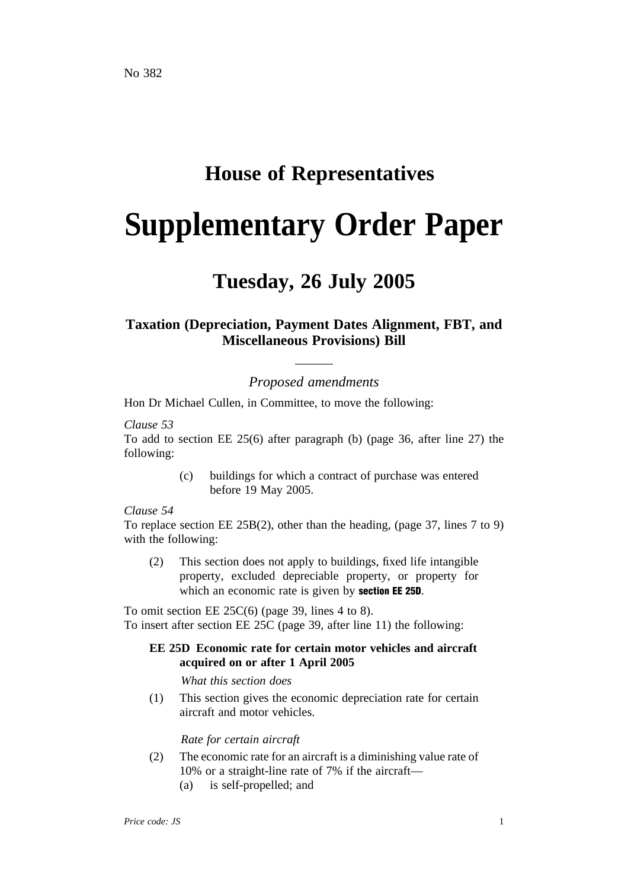# **House of Representatives**

# **Supplementary Order Paper**

# **Tuesday, 26 July 2005**

## **Taxation (Depreciation, Payment Dates Alignment, FBT, and Miscellaneous Provisions) Bill**

## *Proposed amendments*

Hon Dr Michael Cullen, in Committee, to move the following:

#### *Clause 53*

To add to section EE 25(6) after paragraph (b) (page 36, after line 27) the following:

> (c) buildings for which a contract of purchase was entered before 19 May 2005.

#### *Clause 54*

To replace section EE 25B(2), other than the heading, (page 37, lines 7 to 9) with the following:

(2) This section does not apply to buildings, fixed life intangible property, excluded depreciable property, or property for which an economic rate is given by **section EE 25D**.

To omit section EE 25C(6) (page 39, lines 4 to 8). To insert after section EE 25C (page 39, after line 11) the following:

### **EE 25D Economic rate for certain motor vehicles and aircraft acquired on or after 1 April 2005**

*What this section does*

(1) This section gives the economic depreciation rate for certain aircraft and motor vehicles.

#### *Rate for certain aircraft*

- (2) The economic rate for an aircraft is a diminishing value rate of 10% or a straight-line rate of 7% if the aircraft—
	- (a) is self-propelled; and